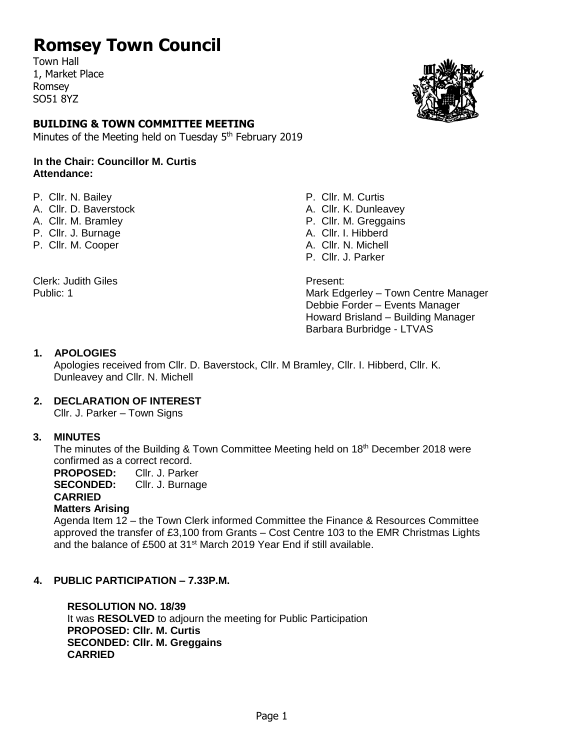## **Romsey Town Council**

Town Hall 1, Market Place Romsey SO51 8YZ

## **BUILDING & TOWN COMMITTEE MEETING**

Minutes of the Meeting held on Tuesday 5<sup>th</sup> February 2019

#### **In the Chair: Councillor M. Curtis Attendance:**

- P. Cllr. N. Bailey **P. Cllr. M. Curtis**
- A. Cllr. D. Baverstock A. Cllr. K. Dunleavev
- 
- P. Cllr. J. Burnage A. Cllr. I. Hibberd
- P. Clir. M. Cooper A. Clir. N. Michell

Clerk: Judith Giles **Present:** 



A. Cllr. M. Bramley **P. Cllitting Club** P. Cllr. M. Greggains P. Cllr. J. Parker

Public: 1 Mark Edgerley – Town Centre Manager Debbie Forder – Events Manager Howard Brisland – Building Manager Barbara Burbridge - LTVAS

#### **1. APOLOGIES**

Apologies received from Cllr. D. Baverstock, Cllr. M Bramley, Cllr. I. Hibberd, Cllr. K. Dunleavey and Cllr. N. Michell

#### **2. DECLARATION OF INTEREST**

Cllr. J. Parker – Town Signs

#### **3. MINUTES**

The minutes of the Building & Town Committee Meeting held on 18<sup>th</sup> December 2018 were confirmed as a correct record.

**PROPOSED:** Cllr. J. Parker

**SECONDED:** Cllr. J. Burnage

**CARRIED** 

#### **Matters Arising**

Agenda Item 12 – the Town Clerk informed Committee the Finance & Resources Committee approved the transfer of £3,100 from Grants – Cost Centre 103 to the EMR Christmas Lights and the balance of £500 at 31st March 2019 Year End if still available.

#### **4. PUBLIC PARTICIPATION – 7.33P.M.**

**RESOLUTION NO. 18/39** It was **RESOLVED** to adjourn the meeting for Public Participation **PROPOSED: Cllr. M. Curtis SECONDED: Cllr. M. Greggains CARRIED**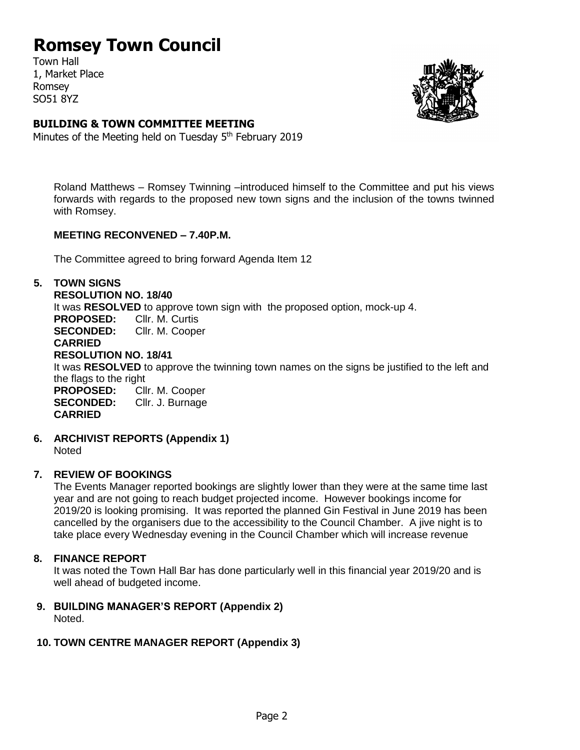## **Romsey Town Council**

Town Hall 1, Market Place Romsey SO51 8YZ



## **BUILDING & TOWN COMMITTEE MEETING**

Minutes of the Meeting held on Tuesday 5<sup>th</sup> February 2019

Roland Matthews – Romsey Twinning –introduced himself to the Committee and put his views forwards with regards to the proposed new town signs and the inclusion of the towns twinned with Romsey.

### **MEETING RECONVENED – 7.40P.M.**

The Committee agreed to bring forward Agenda Item 12

#### **5. TOWN SIGNS**

#### **RESOLUTION NO. 18/40**

It was **RESOLVED** to approve town sign with the proposed option, mock-up 4.

**PROPOSED:** Cllr. M. Curtis

**SECONDED:** Cllr. M. Cooper **CARRIED** 

#### **RESOLUTION NO. 18/41**

It was **RESOLVED** to approve the twinning town names on the signs be justified to the left and the flags to the right

**PROPOSED:** Cllr. M. Cooper **SECONDED:** Cllr. J. Burnage **CARRIED** 

**6. ARCHIVIST REPORTS (Appendix 1)**

**Noted** 

## **7. REVIEW OF BOOKINGS**

The Events Manager reported bookings are slightly lower than they were at the same time last year and are not going to reach budget projected income. However bookings income for 2019/20 is looking promising. It was reported the planned Gin Festival in June 2019 has been cancelled by the organisers due to the accessibility to the Council Chamber. A jive night is to take place every Wednesday evening in the Council Chamber which will increase revenue

## **8. FINANCE REPORT**

It was noted the Town Hall Bar has done particularly well in this financial year 2019/20 and is well ahead of budgeted income.

**9. BUILDING MANAGER'S REPORT (Appendix 2)** Noted.

## **10. TOWN CENTRE MANAGER REPORT (Appendix 3)**